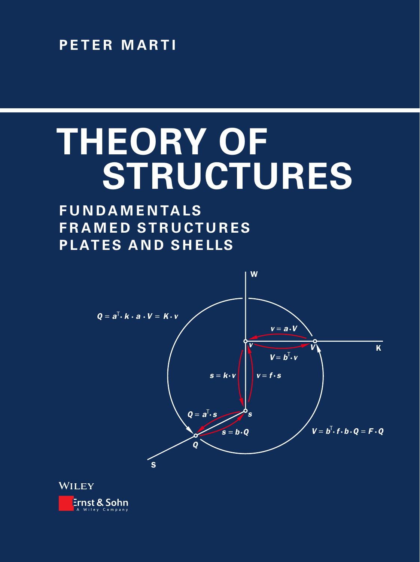**PETER MARTI** 

# **Theory of structures**

**F unda m e n tals F r a m e d Structures PLATES AND SHELLS** 



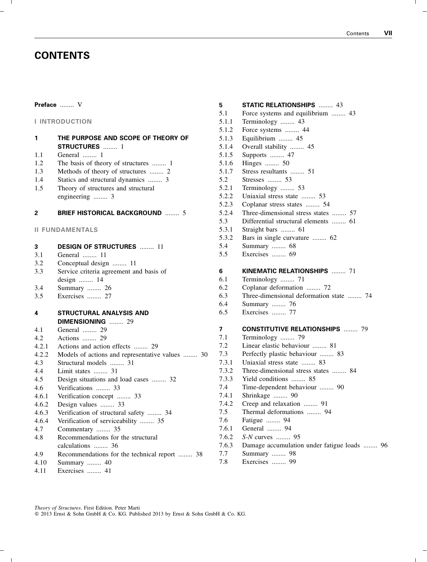# **CONTENTS**

Preface ........ V

I INTRODUCTION

| 1            | THE PURPOSE AND SCOPE OF THEORY OF<br><b>STRUCTURES</b> 1                |  |  |
|--------------|--------------------------------------------------------------------------|--|--|
| 1.1          | General  1                                                               |  |  |
| 1.2.         | The basis of theory of structures  1                                     |  |  |
| 1.3          |                                                                          |  |  |
| 1.4          | Methods of theory of structures  2<br>Statics and structural dynamics  3 |  |  |
| 1.5          | Theory of structures and structural                                      |  |  |
|              | engineering  3                                                           |  |  |
| 2            | <b>BRIEF HISTORICAL BACKGROUND  5</b>                                    |  |  |
|              | <b>II FUNDAMENTALS</b>                                                   |  |  |
| 3            | <b>DESIGN OF STRUCTURES</b> 11                                           |  |  |
| 3.1          | General  11                                                              |  |  |
| 3.2          | Conceptual design  11                                                    |  |  |
| 3.3          | Service criteria agreement and basis of                                  |  |  |
|              | design  14                                                               |  |  |
| 3.4          | Summary  26                                                              |  |  |
| 3.5          | Exercises  27                                                            |  |  |
|              |                                                                          |  |  |
| 4            | <b>STRUCTURAL ANALYSIS AND</b>                                           |  |  |
|              | DIMENSIONING  29                                                         |  |  |
| 4.1          | General  29                                                              |  |  |
| 4.2          | Actions  29                                                              |  |  |
| 4.2.1        | Actions and action effects  29                                           |  |  |
| 4.2.2        | Models of actions and representative values  30                          |  |  |
| 4.3          | Structural models  31                                                    |  |  |
| 4.4          | Limit states  31                                                         |  |  |
| 4.5          | Design situations and load cases  32                                     |  |  |
| 4.6          | Verifications  33                                                        |  |  |
| 4.6.1        | Verification concept  33                                                 |  |  |
| 4.6.2        | Design values  33                                                        |  |  |
| 4.6.3        | Verification of structural safety  34                                    |  |  |
| 4.6.4        | Verification of serviceability  35                                       |  |  |
| 4.7          | Commentary  35                                                           |  |  |
| 4.8          | Recommendations for the structural                                       |  |  |
|              | calculations  36                                                         |  |  |
| 4.9          | Recommendations for the technical report  38                             |  |  |
| 4.10<br>4.11 | Summary  40<br>Exercises  41                                             |  |  |

| 5     | <b>STATIC RELATIONSHIPS  43</b>             |  |  |
|-------|---------------------------------------------|--|--|
| 5.1   | Force systems and equilibrium  43           |  |  |
| 5.1.1 | Terminology  43                             |  |  |
| 5.1.2 | Force systems  44                           |  |  |
| 5.1.3 | Equilibrium  45                             |  |  |
| 5.1.4 | Overall stability  45                       |  |  |
| 5.1.5 | Supports  47                                |  |  |
| 5.1.6 | Hinges  50                                  |  |  |
| 5.1.7 | Stress resultants  51                       |  |  |
| 5.2   | Stresses  53                                |  |  |
| 5.2.1 | Terminology  53                             |  |  |
| 5.2.2 | Uniaxial stress state  53                   |  |  |
| 5.2.3 | Coplanar stress states  54                  |  |  |
| 5.2.4 | Three-dimensional stress states  57         |  |  |
| 5.3   | Differential structural elements  61        |  |  |
| 5.3.1 | Straight bars  61                           |  |  |
| 5.3.2 | Bars in single curvature  62                |  |  |
| 5.4   | Summary  68                                 |  |  |
| 5.5   | Exercises  69                               |  |  |
| 6     | <b>KINEMATIC RELATIONSHIPS  71</b>          |  |  |
| 6.1   | Terminology  71                             |  |  |
| 6.2   | Coplanar deformation  72                    |  |  |
| 6.3   | Three-dimensional deformation state  74     |  |  |
| 6.4   | Summary  76                                 |  |  |
| 6.5   | Exercises  77                               |  |  |
| 7     | <b>CONSTITUTIVE RELATIONSHIPS</b> 79        |  |  |
| 7.1   | Terminology  79                             |  |  |
|       | 7.2<br>Linear elastic behaviour  81         |  |  |
| 7.3   | Perfectly plastic behaviour  83             |  |  |
| 7.3.1 | Uniaxial stress state  83                   |  |  |
| 7.3.2 | Three-dimensional stress states  84         |  |  |
| 7.3.3 | Yield conditions  85                        |  |  |
| 7.4   | Time-dependent behaviour  90                |  |  |
| 7.4.1 | Shrinkage  90                               |  |  |
| 7.4.2 | Creep and relaxation  91                    |  |  |
| 7.5   | Thermal deformations  94                    |  |  |
| 7.6   | Fatigue  94                                 |  |  |
| 7.6.1 | General  94                                 |  |  |
| 7.6.2 | <i>S-N</i> curves  95                       |  |  |
| 7.6.3 | Damage accumulation under fatigue loads  96 |  |  |

- 7.7 Summary ........ 98<br>7.8 Exercises ........ 99
- Exercises ........ 99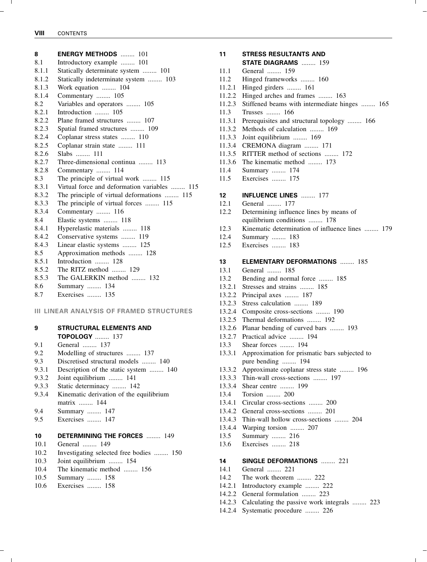| 8     | <b>ENERGY METHODS  101</b>                   |  |  |  |
|-------|----------------------------------------------|--|--|--|
| 8.1   | Introductory example  101                    |  |  |  |
| 8.1.1 | Statically determinate system  101           |  |  |  |
| 8.1.2 | Statically indeterminate system  103         |  |  |  |
| 8.1.3 | Work equation  104                           |  |  |  |
| 8.1.4 | Commentary  105                              |  |  |  |
| 8.2   | Variables and operators  105                 |  |  |  |
| 8.2.1 | Introduction  105                            |  |  |  |
| 8.2.2 | Plane framed structures  107                 |  |  |  |
| 8.2.3 | Spatial framed structures  109               |  |  |  |
| 8.2.4 | Coplanar stress states  110                  |  |  |  |
| 8.2.5 | Coplanar strain state  111                   |  |  |  |
| 8.2.6 | Slabs  111                                   |  |  |  |
| 8.2.7 | Three-dimensional continua  113              |  |  |  |
| 8.2.8 | Commentary  114                              |  |  |  |
| 8.3   | The principle of virtual work  115           |  |  |  |
| 8.3.1 | Virtual force and deformation variables  115 |  |  |  |
| 8.3.2 | The principle of virtual deformations  115   |  |  |  |
| 8.3.3 | The principle of virtual forces  115         |  |  |  |
| 8.3.4 | Commentary  116                              |  |  |  |
| 8.4   | Elastic systems  118                         |  |  |  |
| 8.4.1 | Hyperelastic materials  118                  |  |  |  |
| 8.4.2 | Conservative systems  119                    |  |  |  |
| 8.4.3 | Linear elastic systems  125                  |  |  |  |
| 8.5   | Approximation methods  128                   |  |  |  |
| 8.5.1 | Introduction  128                            |  |  |  |
| 8.5.2 | The RITZ method  129                         |  |  |  |
| 8.5.3 | The GALERKIN method  132                     |  |  |  |
| 8.6   | Summary  134                                 |  |  |  |
|       |                                              |  |  |  |

8.7 Exercises ........ 135

III LINEAR ANALYSIS OF FRAMED STRUCTURES

#### 9 STRUCTURAL ELEMENTS AND

- TOPOLOGY ........ 137
- 9.1 General ........ 137
- 9.2 Modelling of structures ........ 137
- 9.3 Discretised structural models ........ 140
- 9.3.1 Description of the static system ........ 140
- 9.3.2 Joint equilibrium ........ 141
- 9.3.3 Static determinacy ........ 142
- 9.3.4 Kinematic derivation of the equilibrium matrix ........ 144
- 9.4 Summary ........ 147
- 9.5 Exercises ........ 147

#### 10 DETERMINING THE FORCES ........ 149

- 10.1 General ........ 149
- 10.2 Investigating selected free bodies ........ 150
- 10.3 Joint equilibrium ........ 154
- 10.4 The kinematic method ........ 156
- 10.5 Summary ........ 158
- 10.6 Exercises ........ 158

## 11 STRESS RESULTANTS AND

- STATE DIAGRAMS ........ 159
- 11.1 General ........ 159
- 11.2 Hinged frameworks ........ 160
- 11.2.1 Hinged girders ........ 161
- 11.2.2 Hinged arches and frames ........ 163
- 11.2.3 Stiffened beams with intermediate hinges ........ 165
- 11.3 Trusses ........ 166
- 11.3.1 Prerequisites and structural topology ........ 166
- 11.3.2 Methods of calculation ........ 169
- 11.3.3 Joint equilibrium ........ 169
- 11.3.4 CREMONA diagram ........ 171
- 11.3.5 RITTER method of sections ........ 172
- 11.3.6 The kinematic method ........ 173
- 11.4 Summary ........ 174
- 11.5 Exercises ........ 175

#### 12 **INFLUENCE LINES** ........ 177

- 12.1 General ........ 177
- 12.2 Determining influence lines by means of equilibrium conditions ........ 178
- 12.3 Kinematic determination of influence lines ........ 179
- 12.4 Summary ........ 183
- 12.5 Exercises ........ 183

#### 13 **ELEMENTARY DEFORMATIONS** ........ 185

- 13.1 General ........ 185
- 13.2 Bending and normal force ........ 185
- 13.2.1 Stresses and strains ........ 185
- 13.2.2 Principal axes ........ 187
- 13.2.3 Stress calculation ........ 189
- 13.2.4 Composite cross-sections ........ 190
- 13.2.5 Thermal deformations ........ 192
- 13.2.6 Planar bending of curved bars ........ 193
- 13.2.7 Practical advice ........ 194
- 13.3 Shear forces ........ 194
- 13.3.1 Approximation for prismatic bars subjected to pure bending ........ 194
- 13.3.2 Approximate coplanar stress state ........ 196
- 13.3.3 Thin-wall cross-sections ........ 197
- 13.3.4 Shear centre ........ 199
- 13.4 Torsion ........ 200
- 13.4.1 Circular cross-sections ........ 200
- 13.4.2 General cross-sections ........ 201
- 13.4.3 Thin-wall hollow cross-sections ........ 204
- 13.4.4 Warping torsion ........ 207
- 13.5 Summary ........ 216
- 13.6 Exercises ........ 218
- 14 SINGLE DEFORMATIONS ........ 221
- 14.1 General ........ 221
- 14.2 The work theorem ........ 222
- 14.2.1 Introductory example ........ 222
- 14.2.2 General formulation ........ 223
- 14.2.3 Calculating the passive work integrals ........ 223
- 14.2.4 Systematic procedure ........ 226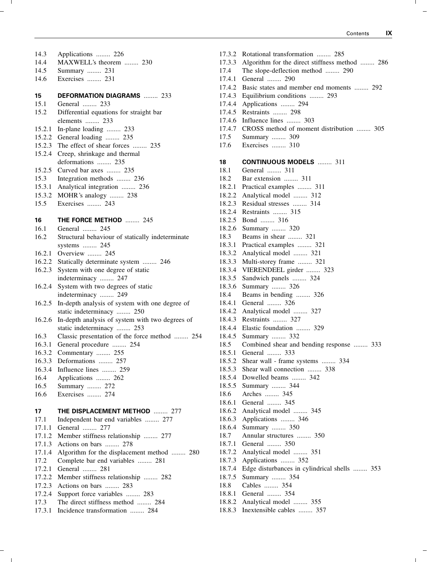- 14.3 Applications ........ 226
- 14.4 MAXWELL's theorem ........ 230
- 14.5 Summary ........ 231
- 14.6 Exercises ........ 231

#### 15 DEFORMATION DIAGRAMS ........ 233

- 15.1 General ........ 233
- 15.2 Differential equations for straight bar elements ........ 233
- 15.2.1 In-plane loading ........ 233
- 15.2.2 General loading ........ 235
- 15.2.3 The effect of shear forces ........ 235
- 15.2.4 Creep, shrinkage and thermal deformations ........ 235
- 15.2.5 Curved bar axes ........ 235
- 15.3 Integration methods ........ 236
- 15.3.1 Analytical integration ........ 236
- 15.3.2 MOHR 's analogy ........ 238
- 15.5 Exercises ........ 243

#### 16 THE FORCE METHOD ........ 245

- 16.1 General ........ 245
- 16.2 Structural behaviour of statically indeterminate systems ........ 245
- 16.2.1 Overview ........ 245
- 16.2.2 Statically determinate system ........ 246
- 16.2.3 System with one degree of static indeterminacy ........ 247
- 16.2.4 System with two degrees of static indeterminacy ........ 249
- 16.2.5 In-depth analysis of system with one degree of static indeterminacy ........ 250
- 16.2.6 In-depth analysis of system with two degrees of static indeterminacy ........ 253
- 16.3 Classic presentation of the force method ........ 254
- 16.3.1 General procedure ........ 254
- 16.3.2 Commentary ........ 255
- 16.3.3 Deformations ........ 257
- 16.3.4 Influence lines ........ 259
- 16.4 Applications ........ 262
- 16.5 Summary ........ 272
- 16.6 Exercises ........ 274

#### 17 THE DISPLACEMENT METHOD ........ 277

- 17.1 Independent bar end variables ........ 277
- 17.1.1 General ........ 277
- 17.1.2 Member stiffness relationship ........ 277
- 17.1.3 Actions on bars ........ 278
- 17.1.4 Algorithm for the displacement method ........ 280
- 17.2 Complete bar end variables ........ 281
- 17.2.1 General ........ 281
- 17.2.2 Member stiffness relationship ........ 282
- 17.2.3 Actions on bars ........ 283
- 17.2.4 Support force variables ........ 283
- 17.3 The direct stiffness method ........ 284
- 17.3.1 Incidence transformation ........ 284
- 17.3.2 Rotational transformation ........ 285 17.3.3 Algorithm for the direct stiffness method ........ 286 17.4 The slope-deflection method ........ 290 17.4.1 General ........ 290 17.4.2 Basic states and member end moments ........ 292 17.4.3 Equilibrium conditions ........ 293 17.4.4 Applications ........ 294 17.4.5 Restraints ........ 298 17.4.6 Influence lines ........ 303 17.4.7 CROSS method of moment distribution ........ 305 17.5 Summary ........ 309 17.6 Exercises ........ 310 18 CONTINUOUS MODELS ........ 311 18.1 General ........ 311 18.2 Bar extension ........ 311 18.2.1 Practical examples ........ 311 18.2.2 Analytical model ........ 312 18.2.3 Residual stresses ........ 314 18.2.4 Restraints ........ 315 18.2.5 Bond ........ 316 18.2.6 Summary ........ 320 18.3 Beams in shear ........ 321 18.3.1 Practical examples ........ 321 18.3.2 Analytical model ........ 321 18.3.3 Multi-storey frame ........ 321 18.3.4 VIERENDEEL girder ........ 323 18.3.5 Sandwich panels ........ 324 18.3.6 Summary ........ 326 18.4 Beams in bending ........ 326 18.4.1 General ........ 326 18.4.2 Analytical model ........ 327 18.4.3 Restraints ........ 327 18.4.4 Elastic foundation ........ 329 18.4.5 Summary ........ 332 18.5 Combined shear and bending response ........ 333 18.5.1 General ........ 333 18.5.2 Shear wall - frame systems ........ 334 18.5.3 Shear wall connection ........ 338 18.5.4 Dowelled beams ........ 342 18.5.5 Summary ........ 344 18.6 Arches ........ 345 18.6.1 General ........ 345 18.6.2 Analytical model ........ 345 18.6.3 Applications ........ 346 18.6.4 Summary ........ 350 18.7 Annular structures ........ 350 18.7.1 General ........ 350 18.7.2 Analytical model ........ 351 18.7.3 Applications ........ 352 18.7.4 Edge disturbances in cylindrical shells ........ 353 18.7.5 Summary ........ 354 18.8 Cables ........ 354 18.8.1 General ........ 354 18.8.2 Analytical model ........ 355
- 18.8.3 Inextensible cables ........ 357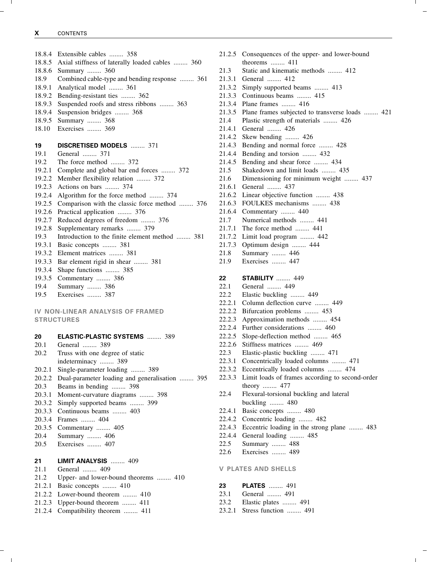| Extensible cables  358                                    |  |  |  |
|-----------------------------------------------------------|--|--|--|
| 18.8.5<br>Axial stiffness of laterally loaded cables  360 |  |  |  |
| Summary  360                                              |  |  |  |
| Combined cable-type and bending response  361             |  |  |  |
| Analytical model  361                                     |  |  |  |
| Bending-resistant ties  362                               |  |  |  |
| Suspended roofs and stress ribbons  363                   |  |  |  |
| Suspension bridges  368                                   |  |  |  |
| 18.9.5<br>Summary  368                                    |  |  |  |
| Exercises  369<br>18.10                                   |  |  |  |
|                                                           |  |  |  |
| <b>DISCRETISED MODELS</b> 371                             |  |  |  |
| General  371                                              |  |  |  |
| The force method  372                                     |  |  |  |
| Complete and global bar end forces  372<br>19.2.1         |  |  |  |
| 19.2.2<br>Member flexibility relation  372                |  |  |  |
| Actions on bars  374<br>19.2.3                            |  |  |  |
| 19.2.4<br>Algorithm for the force method  374             |  |  |  |
| 19.2.5<br>Comparison with the classic force method  376   |  |  |  |
| Practical application  376                                |  |  |  |
| Reduced degrees of freedom  376<br>19.2.7                 |  |  |  |
| Supplementary remarks  379                                |  |  |  |
| Introduction to the finite element method  381            |  |  |  |
| Basic concepts  381                                       |  |  |  |
| Element matrices  381<br>19.3.2                           |  |  |  |
|                                                           |  |  |  |
| Bar element rigid in shear  381                           |  |  |  |
| Shape functions  385                                      |  |  |  |
| Commentary  386                                           |  |  |  |
| Summary  386<br>Exercises  387                            |  |  |  |
|                                                           |  |  |  |

#### IV NON-LINEAR ANALYSIS OF FRAMED **STRUCTURES**

#### 20 ELASTIC-PLASTIC SYSTEMS ........ 389

- 20.1 General ........ 389
- 20.2 Truss with one degree of static indeterminacy ........ 389
- 20.2.1 Single-parameter loading ........ 389
- 20.2.2 Dual-parameter loading and generalisation ........ 395
- 20.3 Beams in bending ........ 398
- 20.3.1 Moment-curvature diagrams ........ 398
- 20.3.2 Simply supported beams ........ 399
- 20.3.3 Continuous beams ........ 403
- 20.3.4 Frames ........ 404
- 20.3.5 Commentary ........ 405
- 20.4 Summary ........ 406
- 20.5 Exercises ........ 407
- 21 LIMIT ANALYSIS ........ 409
- 21.1 General ........ 409
- 21.2 Upper- and lower-bound theorems ........ 410
- 21.2.1 Basic concepts ........ 410
- 21.2.2 Lower-bound theorem ........ 410
- 21.2.3 Upper-bound theorem ........ 411
- 21.2.4 Compatibility theorem ........ 411
- 21.2.5 Consequences of the upper- and lower-bound theorems ........ 411 21.3 Static and kinematic methods ........ 412 21.3.1 General ........ 412 21.3.2 Simply supported beams ........ 413 21.3.3 Continuous beams ........ 415 21.3.4 Plane frames ........ 416 21.3.5 Plane frames subjected to transverse loads ........ 421 21.4 Plastic strength of materials ........ 426 21.4.1 General ........ 426 21.4.2 Skew bending ........ 426 21.4.3 Bending and normal force ........ 428 21.4.4 Bending and torsion ........ 432 21.4.5 Bending and shear force ........ 434 21.5 Shakedown and limit loads ........ 435 21.6 Dimensioning for minimum weight ........ 437 21.6.1 General ........ 437 21.6.2 Linear objective function ........ 438 21.6.3 FOULKES mechanisms ........ 438 21.6.4 Commentary ........ 440 21.7 Numerical methods ........ 441 21.7.1 The force method ........ 441 21.7.2 Limit load program ........ 442 21.7.3 Optimum design ........ 444 21.8 Summary ........ 446 21.9 Exercises ........ 447 **22 STABILITY** ........ 449 22.1 General ........ 449 22.2 Elastic buckling ........ 449 22.2.1 Column deflection curve ........ 449 22.2.2 Bifurcation problems ........ 453 22.2.3 Approximation methods ........ 454 22.2.4 Further considerations ........ 460
- 22.2.5 Slope-deflection method ........ 465
- 22.2.6 Stiffness matrices ........ 469
- 22.3 Elastic-plastic buckling ........ 471
- 22.3.1 Concentrically loaded columns ........ 471
- 22.3.2 Eccentrically loaded columns ........ 474
- 22.3.3 Limit loads of frames according to second-order theory ........ 477
- 22.4 Flexural-torsional buckling and lateral buckling ........ 480
- 22.4.1 Basic concepts ........ 480
- 22.4.2 Concentric loading ........ 482
- 22.4.3 Eccentric loading in the strong plane ........ 483
- 22.4.4 General loading ........ 485
- 22.5 Summary ........ 488
- 22.6 Exercises ........ 489

#### V PLATES AND SHELLS

- 23 PLATES ........ 491
- 23.1 General ........ 491
- 23.2 Elastic plates ........ 491
- 23.2.1 Stress function ........ 491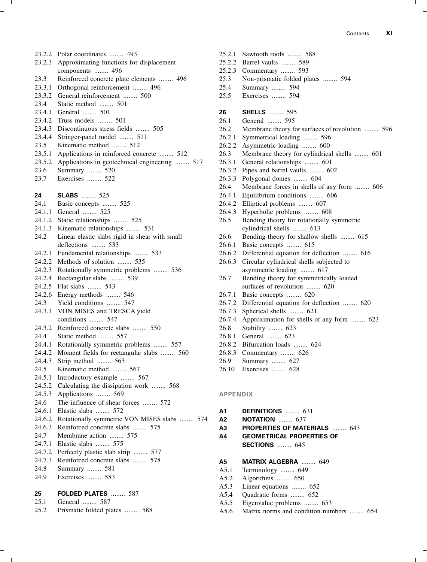|        | 23.2.2 Polar coordinates  493                   |  |  |  |  |
|--------|-------------------------------------------------|--|--|--|--|
|        | 23.2.3 Approximating functions for displacement |  |  |  |  |
|        | components  496                                 |  |  |  |  |
| 23.3   | Reinforced concrete plate elements  496         |  |  |  |  |
| 23.3.1 | Orthogonal reinforcement  496                   |  |  |  |  |
| 23.3.2 | General reinforcement  500                      |  |  |  |  |
| 23.4   | Static method  501                              |  |  |  |  |
|        | 23.4.1 General  501                             |  |  |  |  |
| 23.4.2 | Truss models  501                               |  |  |  |  |
|        | 23.4.3 Discontinuous stress fields  505         |  |  |  |  |
| 23.4.4 | Stringer-panel model  511                       |  |  |  |  |
| 23.5   | Kinematic method  512                           |  |  |  |  |
| 23.5.1 | Applications in reinforced concrete  512        |  |  |  |  |
| 23.5.2 | Applications in geotechnical engineering  517   |  |  |  |  |
| 23.6   | Summary  520                                    |  |  |  |  |
| 23.7   | Exercises  522                                  |  |  |  |  |
|        |                                                 |  |  |  |  |
| 24     | <b>SLABS</b> 525                                |  |  |  |  |
| 24.1   | Basic concepts  525                             |  |  |  |  |
|        | 24.1.1 General  525                             |  |  |  |  |
|        | 24.1.2 Static relationships  525                |  |  |  |  |
|        | 24.1.3 Kinematic relationships  531             |  |  |  |  |
| 24.2   | Linear elastic slabs rigid in shear with small  |  |  |  |  |
|        | deflections  533                                |  |  |  |  |
|        | 24.2.1 Fundamental relationships  533           |  |  |  |  |
|        | 24.2.2 Methods of solution  535                 |  |  |  |  |
|        | 24.2.3 Rotationally symmetric problems  536     |  |  |  |  |
|        | 24.2.4 Rectangular slabs  539                   |  |  |  |  |
|        | 24.2.5 Flat slabs  543                          |  |  |  |  |
|        | 24.2.6 Energy methods  546                      |  |  |  |  |
|        | 24.3 Yield conditions  547                      |  |  |  |  |
|        | 24.3.1 VON MISES and TRESCA yield               |  |  |  |  |
|        | conditions  547                                 |  |  |  |  |
|        | 24.3.2 Reinforced concrete slabs  550           |  |  |  |  |
| 24.4   | Static method  557                              |  |  |  |  |
| 24.4.1 | Rotationally symmetric problems  557            |  |  |  |  |
| 24.4.2 | Moment fields for rectangular slabs  560        |  |  |  |  |
| 24.4.3 | Strip method  563                               |  |  |  |  |
| 24.5   | Kinematic method  567                           |  |  |  |  |
| 24.5.1 | Introductory example  567                       |  |  |  |  |
| 24.5.2 | Calculating the dissipation work  568           |  |  |  |  |
| 24.5.3 | Applications  569                               |  |  |  |  |
| 24.6   | The influence of shear forces  572              |  |  |  |  |
| 24.6.1 | Elastic slabs  572                              |  |  |  |  |
| 24.6.2 | Rotationally symmetric VON MISES slabs  574     |  |  |  |  |
| 24.6.3 | Reinforced concrete slabs  575                  |  |  |  |  |
| 24.7   | Membrane action  575                            |  |  |  |  |
| 24.7.1 | Elastic slabs  575                              |  |  |  |  |
| 24.7.2 | Perfectly plastic slab strip  577               |  |  |  |  |
| 24.7.3 | Reinforced concrete slabs  578                  |  |  |  |  |
| 24.8   | Summary  581                                    |  |  |  |  |
| 24.9   | Exercises  583                                  |  |  |  |  |
|        |                                                 |  |  |  |  |

# 25 FOLDED PLATES ........ 587

- 25.1 General ........ 587
- 25.2 Prismatic folded plates ........ 588
- 25.2.1 Sawtooth roofs ........ 588
- 25.2.2 Barrel vaults ........ 589
- 25.2.3 Commentary ........ 593
- 25.3 Non-prismatic folded plates ........ 594
- 25.4 Summary ........ 594
- 25.5 Exercises ........ 594
- 26 SHELLS ........ 595
- 26.1 General ........ 595
- 26.2 Membrane theory for surfaces of revolution ........ 596
- 26.2.1 Symmetrical loading ........ 596
- 26.2.2 Asymmetric loading ........ 600
- 26.3 Membrane theory for cylindrical shells ........ 601
- 26.3.1 General relationships ........ 601
- 26.3.2 Pipes and barrel vaults ........ 602
- 26.3.3 Polygonal domes ........ 604
- 26.4 Membrane forces in shells of any form ........ 606
- 26.4.1 Equilibrium conditions ........ 606
- 26.4.2 Elliptical problems ........ 607
- 26.4.3 Hyperbolic problems ........ 608
- 26.5 Bending theory for rotationally symmetric cylindrical shells ........ 613
- 26.6 Bending theory for shallow shells ........ 615
- 26.6.1 Basic concepts ........ 615
- 26.6.2 Differential equation for deflection ........ 616
- 26.6.3 Circular cylindrical shells subjected to asymmetric loading ........ 617
- 26.7 Bending theory for symmetrically loaded surfaces of revolution ........ 620
- 26.7.1 Basic concepts ........ 620
- 26.7.2 Differential equation for deflection ........ 620
- 26.7.3 Spherical shells ........ 621
- 26.7.4 Approximation for shells of any form ........ 623
- 26.8 Stability ........ 623
- 26.8.1 General ........ 623
- 26.8.2 Bifurcation loads ........ 624
- 26.8.3 Commentary ........ 626
- 26.9 Summary ........ 627
- 26.10 Exercises ........ 628

#### APPENDIX

- A1 DEFINITIONS ........ 631
- **A2 NOTATION** ........ 637
- A3 PROPERTIES OF MATERIALS ........ 643
- A4 GEOMETRICAL PROPERTIES OF **SECTIONS** ........ 645

#### A5 MATRIX ALGEBRA ........ 649

- A5.1 Terminology ........ 649
- A5.2 Algorithms ........ 650
- A5.3 Linear equations ........ 652
- A5.4 Quadratic forms ........ 652
- A5.5 Eigenvalue problems ........ 653
- A5.6 Matrix norms and condition numbers ........ 654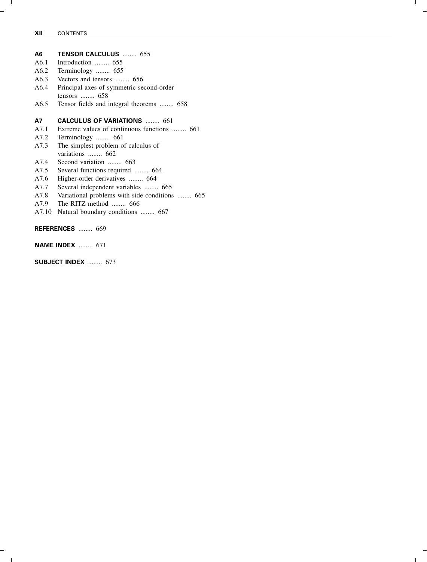#### A6 TENSOR CALCULUS ........ 655

- A6.1 Introduction ........ 655
- A6.2 Terminology ........ 655
- A6.3 Vectors and tensors ........ 656
- A6.4 Principal axes of symmetric second-order tensors ........ 658
- A6.5 Tensor fields and integral theorems ........ 658

#### A7 CALCULUS OF VARIATIONS ........ 661

- A7.1 Extreme values of continuous functions ........ 661
- A7.2 Terminology ........ 661
- A7.3 The simplest problem of calculus of variations ........ 662
- A7.4 Second variation ........ 663
- A7.5 Several functions required ........ 664
- A7.6 Higher-order derivatives ........ 664
- A7.7 Several independent variables ........ 665
- A7.8 Variational problems with side conditions ........ 665
- A7.9 The RITZ method ........ 666
- A7.10 Natural boundary conditions ........ 667

REFERENCES ........ 669

NAME INDEX ........ 671

**SUBJECT INDEX ........ 673**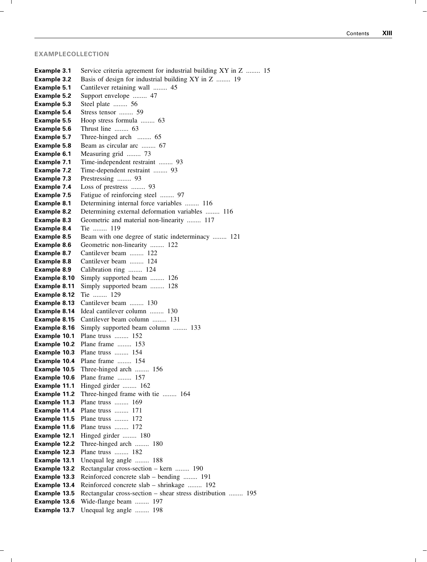#### EXAMPLECOLLECTION

**Example 3.1** Service criteria agreement for industrial building XY in Z ........ 15 **Example 3.2** Basis of design for industrial building XY in Z ........ 19 **Example 5.1** Cantilever retaining wall ........ 45 **Example 5.2** Support envelope ........ 47 **Example 5.3** Steel plate ........ 56 Example 5.4 Stress tensor ........ 59 **Example 5.5** Hoop stress formula ........ 63 **Example 5.6** Thrust line ........ 63 **Example 5.7** Three-hinged arch ........ 65 **Example 5.8** Beam as circular arc ........ 67 **Example 6.1** Measuring grid ........ 73 **Example 7.1** Time-independent restraint ........ 93 Example 7.2 Time-dependent restraint ........ 93 Example 7.3 Prestressing ........ 93 Example 7.4 Loss of prestress ........ 93 **Example 7.5** Fatigue of reinforcing steel ........ 97 **Example 8.1** Determining internal force variables ........ 116 **Example 8.2** Determining external deformation variables ........ 116 **Example 8.3** Geometric and material non-linearity ........ 117 **Example 8.4** Tie ........ 119 **Example 8.5** Beam with one degree of static indeterminacy ........ 121 **Example 8.6** Geometric non-linearity ........ 122 **Example 8.7** Cantilever beam ........ 122 Example 8.8 Cantilever beam ........ 124 **Example 8.9** Calibration ring ........ 124 Example 8.10 Simply supported beam ........ 126 **Example 8.11** Simply supported beam ........ 128 **Example 8.12** Tie ........ 129 Example 8.13 Cantilever beam ........ 130 **Example 8.14** Ideal cantilever column ........ 130 Example 8.15 Cantilever beam column ........ 131 **Example 8.16** Simply supported beam column ........ 133 **Example 10.1** Plane truss ........ 152 **Example 10.2** Plane frame ........ 153 **Example 10.3** Plane truss ........ 154 **Example 10.4** Plane frame ........ 154 **Example 10.5** Three-hinged arch ........ 156 **Example 10.6** Plane frame ........ 157 Example 11.1 Hinged girder ........ 162 **Example 11.2** Three-hinged frame with tie ........ 164 **Example 11.3** Plane truss ........ 169 **Example 11.4** Plane truss ........ 171 **Example 11.5** Plane truss ........ 172 **Example 11.6** Plane truss ........ 172 Example 12.1 Hinged girder ........ 180 **Example 12.2** Three-hinged arch ........ 180 **Example 12.3** Plane truss ........ 182 **Example 13.1** Unequal leg angle ........ 188 Example 13.2 Rectangular cross-section – kern ........ 190 Example 13.3 Reinforced concrete slab – bending ........ 191 Example 13.4 Reinforced concrete slab – shrinkage ........ 192 Example 13.5 Rectangular cross-section – shear stress distribution ........ 195 Example 13.6 Wide-flange beam ........ 197 Example 13.7 Unequal leg angle ........ 198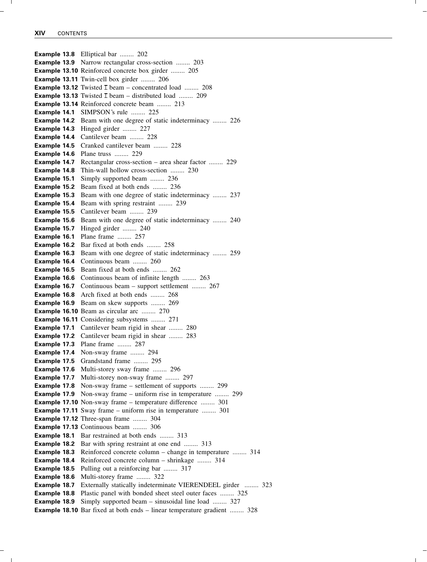Example 13.8 Elliptical bar ........ 202 Example 13.9 Narrow rectangular cross-section ........ 203 Example 13.10 Reinforced concrete box girder ........ 205 Example 13.11 Twin-cell box girder ........ 206 **Example 13.12** Twisted  $\overline{L}$  beam – concentrated load ........ 208 **Example 13.13** Twisted **I** beam – distributed load ........ 209 Example 13.14 Reinforced concrete beam ........ 213 Example 14.1 SIMPSON's rule ........ 225 **Example 14.2** Beam with one degree of static indeterminacy ........ 226 Example 14.3 Hinged girder ........ 227 Example 14.4 Cantilever beam ........ 228 Example 14.5 Cranked cantilever beam ........ 228 **Example 14.6** Plane truss ........ 229 Example 14.7 Rectangular cross-section – area shear factor ........ 229 **Example 14.8** Thin-wall hollow cross-section ........ 230 **Example 15.1** Simply supported beam ........ 236 Example 15.2 Beam fixed at both ends ........ 236 **Example 15.3** Beam with one degree of static indeterminacy ........ 237 **Example 15.4** Beam with spring restraint ........ 239 Example 15.5 Cantilever beam ........ 239 **Example 15.6** Beam with one degree of static indeterminacy ........ 240 Example 15.7 Hinged girder ........ 240 **Example 16.1** Plane frame ........ 257 Example 16.2 Bar fixed at both ends ........ 258 **Example 16.3** Beam with one degree of static indeterminacy ........ 259 Example 16.4 Continuous beam ........ 260 **Example 16.5** Beam fixed at both ends ........ 262 **Example 16.6** Continuous beam of infinite length ........ 263 Example 16.7 Continuous beam – support settlement ........ 267 Example 16.8 Arch fixed at both ends ........ 268 **Example 16.9** Beam on skew supports ........ 269 Example 16.10 Beam as circular arc ........ 270 Example 16.11 Considering subsystems ........ 271 Example 17.1 Cantilever beam rigid in shear ........ 280 Example 17.2 Cantilever beam rigid in shear ........ 283 **Example 17.3** Plane frame ........ 287 Example 17.4 Non-sway frame ........ 294 Example 17.5 Grandstand frame ........ 295 Example 17.6 Multi-storey sway frame ........ 296 Example 17.7 Multi-storey non-sway frame ........ 297 Example 17.8 Non-sway frame – settlement of supports ........ 299 **Example 17.9** Non-sway frame – uniform rise in temperature ........ 299 Example 17.10 Non-sway frame – temperature difference ........ 301 **Example 17.11** Sway frame – uniform rise in temperature ........ 301 **Example 17.12** Three-span frame ........ 304 Example 17.13 Continuous beam ........ 306 Example 18.1 Bar restrained at both ends ........ 313 Example 18.2 Bar with spring restraint at one end ........ 313 Example 18.3 Reinforced concrete column – change in temperature ........ 314 Example 18.4 Reinforced concrete column – shrinkage ........ 314 Example 18.5 Pulling out a reinforcing bar ........ 317 Example 18.6 Multi-storey frame ........ 322 Example 18.7 Externally statically indeterminate VIERENDEEL girder ........ 323 **Example 18.8** Plastic panel with bonded sheet steel outer faces ........ 325 **Example 18.9** Simply supported beam – sinusoidal line load ........ 327 Example 18.10 Bar fixed at both ends – linear temperature gradient ........ 328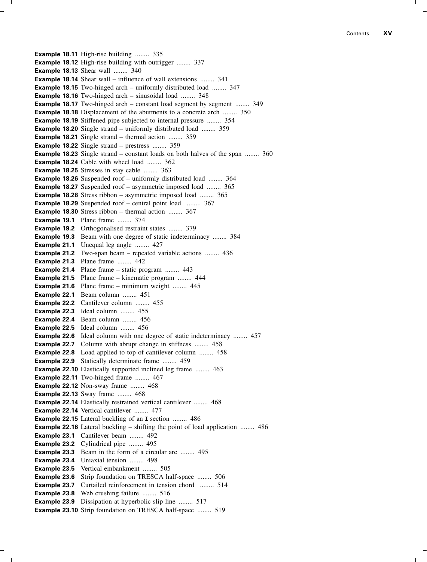Example 18.11 High-rise building ........ 335 **Example 18.12** High-rise building with outrigger ........ 337 **Example 18.13** Shear wall ........ 340 Example 18.14 Shear wall – influence of wall extensions ........ 341 Example 18.15 Two-hinged arch – uniformly distributed load ........ 347 Example 18.16 Two-hinged arch – sinusoidal load ........ 348 **Example 18.17** Two-hinged arch – constant load segment by segment ........ 349 **Example 18.18** Displacement of the abutments to a concrete arch ........ 350 Example 18.19 Stiffened pipe subjected to internal pressure ........ 354 Example 18.20 Single strand – uniformly distributed load ........ 359 Example 18.21 Single strand – thermal action ........ 359 Example 18.22 Single strand – prestress ........ 359 Example 18.23 Single strand – constant loads on both halves of the span ........ 360 Example 18.24 Cable with wheel load ........ 362 Example 18.25 Stresses in stay cable ........ 363 Example 18.26 Suspended roof – uniformly distributed load ........ 364 Example 18.27 Suspended roof – asymmetric imposed load ........ 365 Example 18.28 Stress ribbon – asymmetric imposed load ........ 365 Example 18.29 Suspended roof – central point load ........ 367 Example 18.30 Stress ribbon – thermal action ........ 367 **Example 19.1** Plane frame ........ 374 Example 19.2 Orthogonalised restraint states ........ 379 **Example 19.3** Beam with one degree of static indeterminacy ........ 384 **Example 21.1** Unequal leg angle ........ 427 **Example 21.2** Two-span beam – repeated variable actions ........ 436 **Example 21.3** Plane frame ........ 442 **Example 21.4** Plane frame – static program ........ 443 Example 21.5 Plane frame – kinematic program ........ 444 Example 21.6 Plane frame – minimum weight ........ 445 **Example 22.1** Beam column ........ 451 Example 22.2 Cantilever column ........ 455 Example 22.3 Ideal column ........ 455 **Example 22.4** Beam column ........ 456 Example 22.5 Ideal column ........ 456 **Example 22.6** Ideal column with one degree of static indeterminacy ........ 457 **Example 22.7** Column with abrupt change in stiffness ........ 458 **Example 22.8** Load applied to top of cantilever column ........ 458 Example 22.9 Statically determinate frame ........ 459 **Example 22.10** Elastically supported inclined leg frame ........ 463 Example 22.11 Two-hinged frame ........ 467 **Example 22.12** Non-sway frame ........ 468 **Example 22.13** Sway frame ........ 468 Example 22.14 Elastically restrained vertical cantilever ........ 468 Example 22.14 Vertical cantilever ........ 477 **Example 22.15** Lateral buckling of an **I** section ........ 486 **Example 22.16** Lateral buckling – shifting the point of load application ........ 486 Example 23.1 Cantilever beam ........ 492 **Example 23.2** Cylindrical pipe ........ 495 **Example 23.3** Beam in the form of a circular arc ........ 495 Example 23.4 Uniaxial tension ........ 498 Example 23.5 Vertical embankment ........ 505 Example 23.6 Strip foundation on TRESCA half-space ........ 506 Example 23.7 Curtailed reinforcement in tension chord ........ 514 Example 23.8 Web crushing failure ........ 516 **Example 23.9** Dissipation at hyperbolic slip line ........ 517 Example 23.10 Strip foundation on TRESCA half-space ........ 519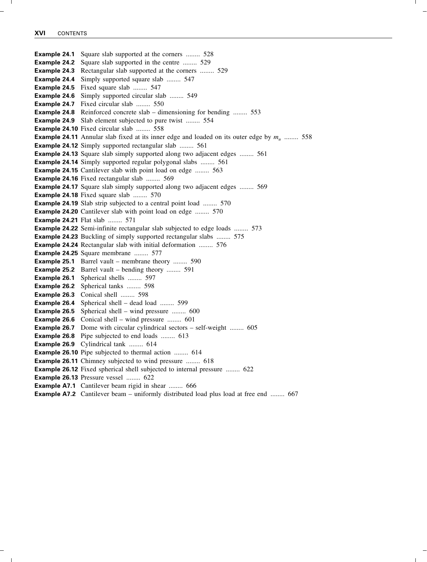**Example 24.1** Square slab supported at the corners ........ 528 **Example 24.2** Square slab supported in the centre ........ 529 Example 24.3 Rectangular slab supported at the corners ........ 529 **Example 24.4** Simply supported square slab ........ 547 Example 24.5 Fixed square slab ........ 547 Example 24.6 Simply supported circular slab ........ 549 **Example 24.7** Fixed circular slab ........ 550 **Example 24.8** Reinforced concrete slab – dimensioning for bending ........ 553 **Example 24.9** Slab element subjected to pure twist ........ 554 Example 24.10 Fixed circular slab ........ 558 **Example 24.11** Annular slab fixed at its inner edge and loaded on its outer edge by  $m_u$  ......... 558 Example 24.12 Simply supported rectangular slab ........ 561 **Example 24.13** Square slab simply supported along two adjacent edges ........ 561 Example 24.14 Simply supported regular polygonal slabs ........ 561 **Example 24.15** Cantilever slab with point load on edge ........ 563 Example 24.16 Fixed rectangular slab ........ 569 Example 24.17 Square slab simply supported along two adjacent edges ........ 569 Example 24.18 Fixed square slab ........ 570 Example 24.19 Slab strip subjected to a central point load ........ 570 Example 24.20 Cantilever slab with point load on edge ........ 570 **Example 24.21 Flat slab ........ 571** Example 24.22 Semi-infinite rectangular slab subjected to edge loads ........ 573 Example 24.23 Buckling of simply supported rectangular slabs ........ 575 Example 24.24 Rectangular slab with initial deformation ........ 576 Example 24.25 Square membrane ........ 577 **Example 25.1** Barrel vault – membrane theory ........ 590 **Example 25.2** Barrel vault – bending theory ........ 591 Example 26.1 Spherical shells ........ 597 Example 26.2 Spherical tanks ........ 598 Example 26.3 Conical shell ........ 598 Example 26.4 Spherical shell – dead load ........ 599 **Example 26.5** Spherical shell – wind pressure ........ 600 Example 26.6 Conical shell – wind pressure ........ 601 Example 26.7 Dome with circular cylindrical sectors – self-weight ........ 605 Example 26.8 Pipe subjected to end loads ........ 613 Example 26.9 Cylindrical tank ........ 614 Example 26.10 Pipe subjected to thermal action ........ 614 Example 26.11 Chimney subjected to wind pressure ........ 618 Example 26.12 Fixed spherical shell subjected to internal pressure ........ 622 Example 26.13 Pressure vessel ........ 622 Example A7.1 Cantilever beam rigid in shear ........ 666 Example A7.2 Cantilever beam – uniformly distributed load plus load at free end ........ 667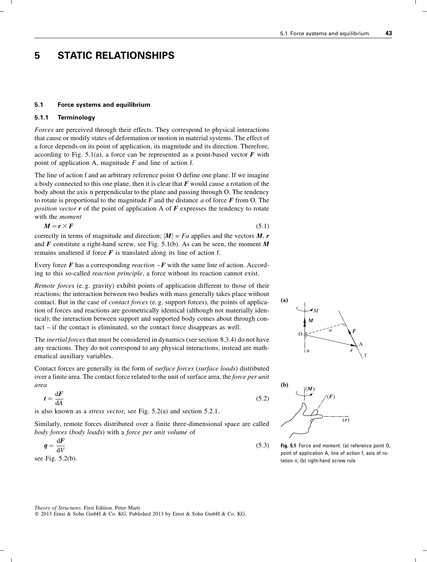# 5 STATIC RELATIONSHIPS

#### 5.1 Force systems and equilibrium

#### 5.1.1 Terminology

Forces are perceived through their effects. They correspond to physical interactions that cause or modify states of deformation or motion in material systems. The effect of a force depends on its point of application, its magnitude and its direction. Therefore, according to Fig. 5.1(a), a force can be represented as a point-based vector  $\vec{F}$  with point of application A, magnitude  $F$  and line of action f.

The line of action f and an arbitrary reference point O define one plane. If we imagine a body connected to this one plane, then it is clear that  $\bf{F}$  would cause a rotation of the body about the axis n perpendicular to the plane and passing through O. The tendency to rotate is proportional to the magnitude  $F$  and the distance  $a$  of force  $\bf{F}$  from O. The position vector  $\mathbf r$  of the point of application A of  $\mathbf F$  expresses the tendency to rotate with the moment

$$
M = r \times F \tag{5.1}
$$

correctly in terms of magnitude and direction;  $|M| = Fa$  applies and the vectors M, r and  $\vec{F}$  constitute a right-hand screw, see Fig. 5.1(b). As can be seen, the moment  $\vec{M}$ remains unaltered if force  $\boldsymbol{F}$  is translated along its line of action f.

Every force  $\bf{F}$  has a corresponding *reaction*  $-\bf{F}$  with the same line of action. According to this so-called reaction principle, a force without its reaction cannot exist.

Remote forces (e. g. gravity) exhibit points of application different to those of their reactions; the interaction between two bodies with mass generally takes place without contact. But in the case of *contact forces* (e.g. support forces), the points of application of forces and reactions are geometrically identical (although not materially identical); the interaction between support and supported body comes about through contact – if the contact is eliminated, so the contact force disappears as well.

The inertial forces that must be considered in dynamics (see section 8.3.4) do not have any reactions. They do not correspond to any physical interactions, instead are mathematical auxiliary variables.

Contact forces are generally in the form of surface forces (surface loads) distributed over a finite area. The contact force related to the unit of surface area, the force per unit area

$$
t = \frac{\mathrm{d}F}{\mathrm{d}A} \tag{5.2}
$$

is also known as a stress vector, see Fig. 5.2(a) and section 5.2.1.

Similarly, remote forces distributed over a finite three-dimensional space are called body forces (body loads) with a force per unit volume of

$$
q = \frac{dF}{dV} \tag{5.3}
$$

see Fig. 5.2(b).





Fig. 5.1 Force and moment: (a) reference point O, point of application A, line of action f, axis of rotation n, (b) right-hand screw rule

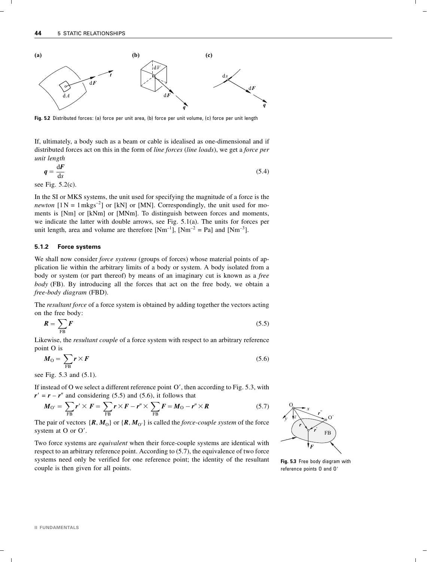

Fig. 5.2 Distributed forces: (a) force per unit area, (b) force per unit volume, (c) force per unit length

If, ultimately, a body such as a beam or cable is idealised as one-dimensional and if distributed forces act on this in the form of *line forces (line loads)*, we get a *force per* unit length

$$
q = \frac{\mathrm{d}F}{\mathrm{d}s} \tag{5.4}
$$

see Fig.  $5.2(c)$ .

In the SI or MKS systems, the unit used for specifying the magnitude of a force is the *newton*  $[1N = 1 mkgs^{-2}]$  or  $[kN]$  or  $[MN]$ . Correspondingly, the unit used for moments is [Nm] or [kNm] or [MNm]. To distinguish between forces and moments, we indicate the latter with double arrows, see Fig. 5.1(a). The units for forces per unit length, area and volume are therefore  $[Nm^{-1}]$ ,  $[Nm^{-2} = Pa]$  and  $[Nm^{-3}]$ .

#### 5.1.2 Force systems

We shall now consider *force systems* (groups of forces) whose material points of application lie within the arbitrary limits of a body or system. A body isolated from a body or system (or part thereof) by means of an imaginary cut is known as a *free* body (FB). By introducing all the forces that act on the free body, we obtain a free-body diagram (FBD).

The *resultant force* of a force system is obtained by adding together the vectors acting on the free body:

$$
R = \sum_{\text{FB}} F \tag{5.5}
$$

Likewise, the *resultant couple* of a force system with respect to an arbitrary reference point O is

$$
M_{\rm O} = \sum_{\rm FB} r \times F \tag{5.6}
$$

see Fig. 5.3 and (5.1).

If instead of O we select a different reference point O', then according to Fig. 5.3, with  $r' = r - r''$  and considering (5.5) and (5.6), it follows that

$$
M_{\rm O'} = \sum_{\rm FB} r' \times F = \sum_{\rm FB} r \times F - r'' \times \sum_{\rm FB} F = M_{\rm O} - r'' \times R \tag{5.7}
$$

The pair of vectors  $\{R, M_0\}$  or  $\{R, M_{0'}\}$  is called the *force-couple system* of the force system at O or O'.

Two force systems are *equivalent* when their force-couple systems are identical with respect to an arbitrary reference point. According to (5.7), the equivalence of two force systems need only be verified for one reference point; the identity of the resultant couple is then given for all points.



Fig. 5.3 Free body diagram with reference points 0 and 0'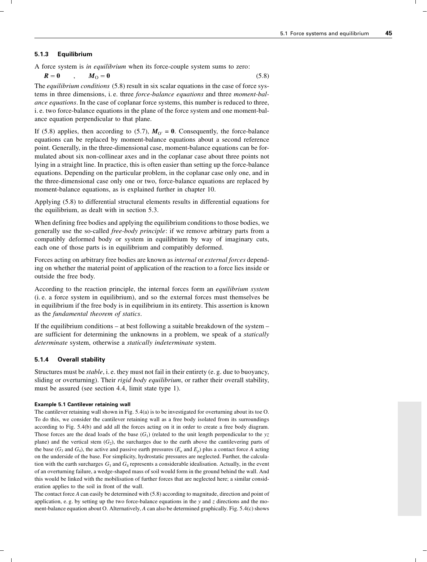#### 5.1.3 Equilibrium

ance equation perpendicular to that plane.

A force system is in equilibrium when its force-couple system sums to zero:

 $R = 0$ ,  $M_0 = 0$  (5.8) The *equilibrium conditions* (5.8) result in six scalar equations in the case of force systems in three dimensions, i. e. three force-balance equations and three moment-balance equations. In the case of coplanar force systems, this number is reduced to three,

i. e. two force-balance equations in the plane of the force system and one moment-bal-

If (5.8) applies, then according to (5.7),  $M_{\text{O}} = 0$ . Consequently, the force-balance equations can be replaced by moment-balance equations about a second reference point. Generally, in the three-dimensional case, moment-balance equations can be formulated about six non-collinear axes and in the coplanar case about three points not lying in a straight line. In practice, this is often easier than setting up the force-balance equations. Depending on the particular problem, in the coplanar case only one, and in the three-dimensional case only one or two, force-balance equations are replaced by moment-balance equations, as is explained further in chapter 10.

Applying (5.8) to differential structural elements results in differential equations for the equilibrium, as dealt with in section 5.3.

When defining free bodies and applying the equilibrium conditions to those bodies, we generally use the so-called free-body principle: if we remove arbitrary parts from a compatibly deformed body or system in equilibrium by way of imaginary cuts, each one of those parts is in equilibrium and compatibly deformed.

Forces acting on arbitrary free bodies are known as internal or external forces depending on whether the material point of application of the reaction to a force lies inside or outside the free body.

According to the reaction principle, the internal forces form an *equilibrium system* (i. e. a force system in equilibrium), and so the external forces must themselves be in equilibrium if the free body is in equilibrium in its entirety. This assertion is known as the fundamental theorem of statics.

If the equilibrium conditions – at best following a suitable breakdown of the system – are sufficient for determining the unknowns in a problem, we speak of a statically determinate system, otherwise a statically indeterminate system.

#### 5.1.4 Overall stability

Structures must be stable, i. e. they must not fail in their entirety (e. g. due to buoyancy, sliding or overturning). Their rigid body equilibrium, or rather their overall stability, must be assured (see section 4.4, limit state type 1).

#### Example 5.1 Cantilever retaining wall

The cantilever retaining wall shown in Fig. 5.4(a) is to be investigated for overturning about its toe O. To do this, we consider the cantilever retaining wall as a free body isolated from its surroundings according to Fig. 5.4(b) and add all the forces acting on it in order to create a free body diagram. Those forces are the dead loads of the base  $(G_1)$  (related to the unit length perpendicular to the yz plane) and the vertical stem  $(G_2)$ , the surcharges due to the earth above the cantilevering parts of the base ( $G_3$  and  $G_4$ ), the active and passive earth pressures ( $E_a$  and  $E_p$ ) plus a contact force A acting on the underside of the base. For simplicity, hydrostatic pressures are neglected. Further, the calculation with the earth surcharges  $G_3$  and  $G_4$  represents a considerable idealisation. Actually, in the event of an overturning failure, a wedge-shaped mass of soil would form in the ground behind the wall. And this would be linked with the mobilisation of further forces that are neglected here; a similar consideration applies to the soil in front of the wall.

The contact force A can easily be determined with (5.8) according to magnitude, direction and point of application, e. g. by setting up the two force-balance equations in the y and  $\zeta$  directions and the moment-balance equation about O. Alternatively, A can also be determined graphically. Fig. 5.4(c) shows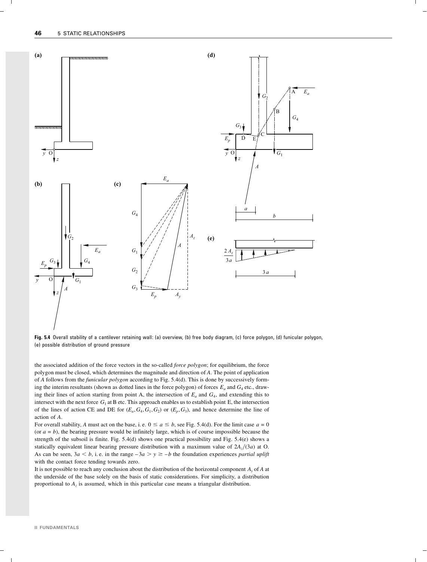

Fig. 5.4 Overall stability of a cantilever retaining wall: (a) overview, (b) free body diagram, (c) force polygon, (d) funicular polygon, (e) possible distribution of ground pressure

the associated addition of the force vectors in the so-called *force polygon*; for equilibrium, the force polygon must be closed, which determines the magnitude and direction of A. The point of application of A follows from the funicular polygon according to Fig. 5.4(d). This is done by successively forming the interim resultants (shown as dotted lines in the force polygon) of forces  $E_a$  and  $G_4$  etc., drawing their lines of action starting from point A, the intersection of  $E_a$  and  $G_4$ , and extending this to intersect with the next force  $G_1$  at B etc. This approach enables us to establish point E, the intersection of the lines of action CE and DE for  $(E_a, G_4, G_1, G_2)$  or  $(E_n, G_3)$ , and hence determine the line of action of A.

For overall stability, A must act on the base, i.e.  $0 \le a \le b$ , see Fig. 5.4(d). For the limit case  $a = 0$ (or  $a = b$ ), the bearing pressure would be infinitely large, which is of course impossible because the strength of the subsoil is finite. Fig. 5.4(d) shows one practical possibility and Fig. 5.4(e) shows a statically equivalent linear bearing pressure distribution with a maximum value of  $2A_z/(3a)$  at O. As can be seen,  $3a < b$ , i.e. in the range  $-3a > y \ge -b$  the foundation experiences partial uplift with the contact force tending towards zero.

It is not possible to reach any conclusion about the distribution of the horizontal component  $A<sub>v</sub>$  of A at the underside of the base solely on the basis of static considerations. For simplicity, a distribution proportional to  $A<sub>z</sub>$  is assumed, which in this particular case means a triangular distribution.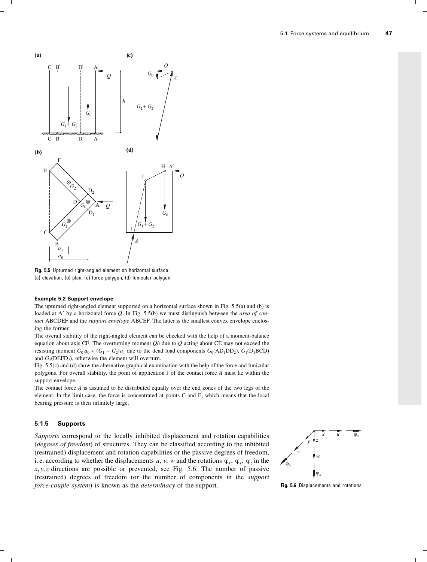

Fig. 5.5 Upturned right-angled element on horizontal surface: (a) elevation, (b) plan, (c) force polygon, (d) funicular polygon

#### Example 5.2 Support envelope

The upturned right-angled element supported on a horizontal surface shown in Fig. 5.5(a) and (b) is loaded at A' by a horizontal force  $Q$ . In Fig. 5.5(b) we must distinguish between the area of contact ABCDEF and the support envelope ABCEF. The latter is the smallest convex envelope enclosing the former.

The overall stability of the right-angled element can be checked with the help of a moment-balance equation about axis CE. The overturning moment  $Qh$  due to  $Q$  acting about CE may not exceed the resisting moment  $G_0 a_0 + (G_1 + G_2) a_1$  due to the dead load components  $G_0(AD_1DD_2)$ ,  $G_1(D_1BCD)$ and  $G_2(\text{DEFD}_2)$ , otherwise the element will overturn.

Fig. 5.5(c) and (d) show the alternative graphical examination with the help of the force and funicular polygons. For overall stability, the point of application J of the contact force A must lie within the support envelope.

The contact force  $A$  is assumed to be distributed equally over the end zones of the two legs of the element. In the limit case, the force is concentrated at points C and E, which means that the local bearing pressure is then infinitely large.

#### 5.1.5 Supports

Supports correspond to the locally inhibited displacement and rotation capabilities (degrees of freedom) of structures. They can be classified according to the inhibited (restrained) displacement and rotation capabilities or the passive degrees of freedom, i. e. according to whether the displacements u, v, w and the rotations  $\varphi_x$ ,  $\varphi_y$ ,  $\varphi_z$  in the  $x, y, z$  directions are possible or prevented, see Fig. 5.6. The number of passive (restrained) degrees of freedom (or the number of components in the support force-couple system) is known as the determinacy of the support.



Fig. 5.6 Displacements and rotations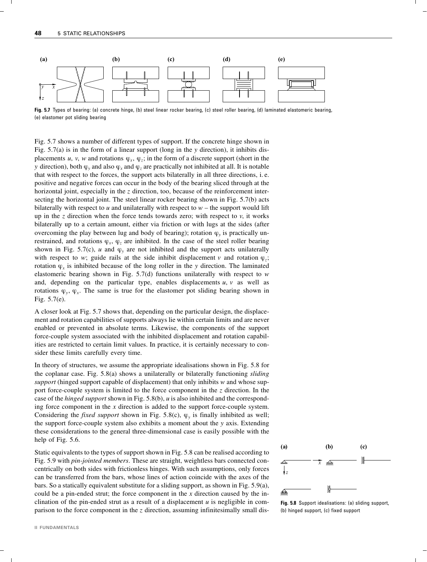

Fig. 5.7 Types of bearing: (a) concrete hinge, (b) steel linear rocker bearing, (c) steel roller bearing, (d) laminated elastomeric bearing, (e) elastomer pot sliding bearing

Fig. 5.7 shows a number of different types of support. If the concrete hinge shown in Fig.  $5.7(a)$  is in the form of a linear support (long in the y direction), it inhibits displacements u, v, w and rotations  $\varphi_x$ ,  $\varphi_z$ ; in the form of a discrete support (short in the y direction), both  $\varphi$ , and also  $\varphi$ , and  $\varphi$ , are practically not inhibited at all. It is notable that with respect to the forces, the support acts bilaterally in all three directions, i. e. positive and negative forces can occur in the body of the bearing sliced through at the horizontal joint, especially in the  $z$  direction, too, because of the reinforcement intersecting the horizontal joint. The steel linear rocker bearing shown in Fig. 5.7(b) acts bilaterally with respect to  $u$  and unilaterally with respect to  $w$  – the support would lift up in the z direction when the force tends towards zero; with respect to  $v$ , it works bilaterally up to a certain amount, either via friction or with lugs at the sides (after overcoming the play between lug and body of bearing); rotation  $\varphi_{v}$  is practically unrestrained, and rotations  $\varphi_x$ ,  $\varphi_z$  are inhibited. In the case of the steel roller bearing shown in Fig. 5.7(c), u and  $\varphi$  are not inhibited and the support acts unilaterally with respect to w; guide rails at the side inhibit displacement v and rotation  $\varphi$ , rotation  $\varphi_r$  is inhibited because of the long roller in the y direction. The laminated elastomeric bearing shown in Fig.  $5.7(d)$  functions unilaterally with respect to w and, depending on the particular type, enables displacements  $u, v$  as well as rotations  $\varphi_{v}$ ,  $\varphi_{r}$ . The same is true for the elastomer pot sliding bearing shown in Fig. 5.7(e).

A closer look at Fig. 5.7 shows that, depending on the particular design, the displacement and rotation capabilities of supports always lie within certain limits and are never enabled or prevented in absolute terms. Likewise, the components of the support force-couple system associated with the inhibited displacement and rotation capabilities are restricted to certain limit values. In practice, it is certainly necessary to consider these limits carefully every time.

In theory of structures, we assume the appropriate idealisations shown in Fig. 5.8 for the coplanar case. Fig. 5.8(a) shows a unilaterally or bilaterally functioning sliding support (hinged support capable of displacement) that only inhibits w and whose support force-couple system is limited to the force component in the  $z$  direction. In the case of the *hinged support* shown in Fig. 5.8(b),  $u$  is also inhibited and the corresponding force component in the  $x$  direction is added to the support force-couple system. Considering the *fixed support* shown in Fig. 5.8(c),  $\varphi$ <sub>v</sub> is finally inhibited as well; the support force-couple system also exhibits a moment about the y axis. Extending these considerations to the general three-dimensional case is easily possible with the help of Fig. 5.6.

Static equivalents to the types of support shown in Fig. 5.8 can be realised according to Fig. 5.9 with pin-jointed members. These are straight, weightless bars connected concentrically on both sides with frictionless hinges. With such assumptions, only forces can be transferred from the bars, whose lines of action coincide with the axes of the bars. So a statically equivalent substitute for a sliding support, as shown in Fig. 5.9(a), could be a pin-ended strut; the force component in the x direction caused by the inclination of the pin-ended strut as a result of a displacement  $u$  is negligible in comparison to the force component in the  $z$  direction, assuming infinitesimally small dis-



Fig. 5.8 Support idealisations: (a) sliding support, (b) hinged support, (c) fixed support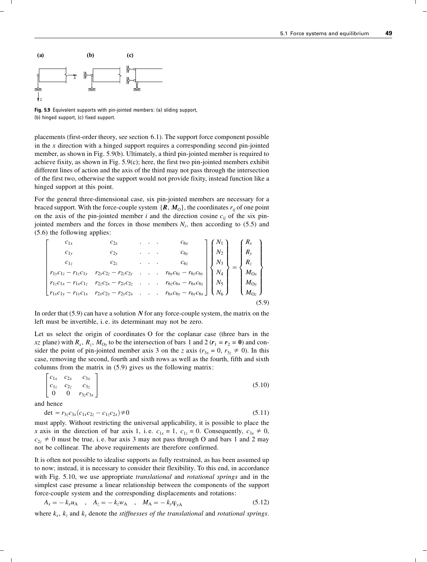

Fig. 5.9 Equivalent supports with pin-jointed members: (a) sliding support, (b) hinged support, (c) fixed support.

placements (first-order theory, see section 6.1). The support force component possible in the  $x$  direction with a hinged support requires a corresponding second pin-jointed member, as shown in Fig. 5.9(b). Ultimately, a third pin-jointed member is required to achieve fixity, as shown in Fig.  $5.9(c)$ ; here, the first two pin-jointed members exhibit different lines of action and the axis of the third may not pass through the intersection of the first two, otherwise the support would not provide fixity, instead function like a hinged support at this point.

For the general three-dimensional case, six pin-jointed members are necessary for a braced support. With the force-couple system  $\{R, M_0\}$ , the coordinates  $r_{ii}$  of one point on the axis of the pin-jointed member i and the direction cosine  $c_{ii}$  of the six pinjointed members and the forces in those members  $N_i$ , then according to (5.5) and (5.6) the following applies:

$$
\begin{bmatrix}\nc_{1x} & c_{2x} & \cdots & c_{6x} \\
c_{1y} & c_{2y} & \cdots & c_{6y} \\
c_{1z} & c_{2z} & \cdots & c_{6z} \\
r_{1y}c_{1z} - r_{1z}c_{1y} & r_{2y}c_{2z} - r_{2z}c_{2y} & \cdots & r_{6y}c_{6z} - r_{6z}c_{6y} \\
r_{1z}c_{1x} - r_{1x}c_{1z} & r_{2z}c_{2x} - r_{2x}c_{2z} & \cdots & r_{6z}c_{6x} - r_{6x}c_{6z} \\
r_{1x}c_{1y} - r_{1y}c_{1x} & r_{2x}c_{2y} - r_{2y}c_{2x} & \cdots & r_{6x}c_{6y} - r_{6y}c_{6x}\n\end{bmatrix}\n\begin{bmatrix}\nN_{1} \\
N_{2} \\
N_{3} \\
N_{4} \\
N_{5} \\
N_{6}\n\end{bmatrix}\n=\n\begin{bmatrix}\nR_{x} \\
R_{y} \\
R_{z} \\
M_{0x} \\
M_{0z} \\
M_{0z}\n\end{bmatrix}
$$
\n(5.9)

In order that  $(5.9)$  can have a solution N for any force-couple system, the matrix on the left must be invertible, i. e. its determinant may not be zero.

Let us select the origin of coordinates O for the coplanar case (three bars in the xz plane) with  $R_x$ ,  $R_z$ ,  $M_{Oy}$  to be the intersection of bars 1 and 2 ( $r_1 = r_2 = 0$ ) and consider the point of pin-jointed member axis 3 on the z axis ( $r_{3x} = 0$ ,  $r_{3z} \neq 0$ ). In this case, removing the second, fourth and sixth rows as well as the fourth, fifth and sixth columns from the matrix in (5.9) gives us the following matrix:

$$
\begin{bmatrix} c_{1x} & c_{2x} & c_{3x} \\ c_{1z} & c_{2z} & c_{3z} \\ 0 & 0 & r_{3z}c_{3x} \end{bmatrix}
$$
 (5.10)

and hence

$$
\det = r_{3z}c_{3x}(c_{1x}c_{2z} - c_{1z}c_{2x}) \neq 0 \tag{5.11}
$$

must apply. Without restricting the universal applicability, it is possible to place the x axis in the direction of bar axis 1, i.e.  $c_{1x} = 1$ ,  $c_{1z} = 0$ . Consequently,  $c_{3x} \neq 0$ ,  $c_{2z} \neq 0$  must be true, i. e. bar axis 3 may not pass through O and bars 1 and 2 may not be collinear. The above requirements are therefore confirmed.

It is often not possible to idealise supports as fully restrained, as has been assumed up to now; instead, it is necessary to consider their flexibility. To this end, in accordance with Fig. 5.10, we use appropriate *translational* and *rotational springs* and in the simplest case presume a linear relationship between the components of the support force-couple system and the corresponding displacements and rotations:

$$
A_x = -k_x u_A , A_z = -k_z w_A , M_A = -k_y \varphi_{yA}
$$
 (5.12)

where  $k_x$ ,  $k_z$  and  $k_y$  denote the *stiffnesses of the translational* and *rotational springs*.